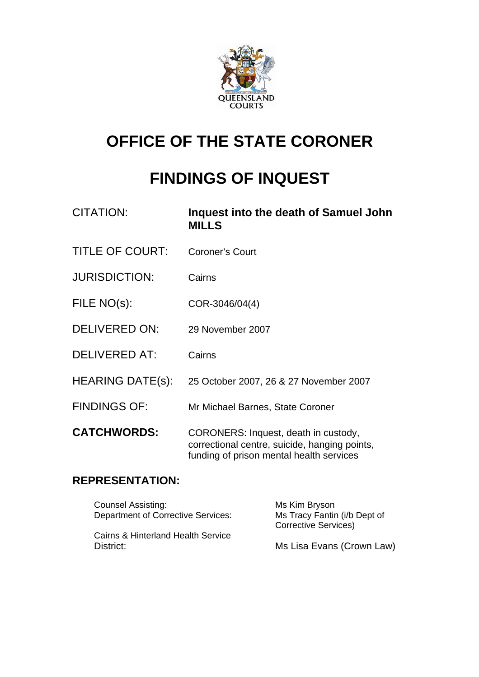

# **OFFICE OF THE STATE CORONER**

# **FINDINGS OF INQUEST**

| CITATION:               | Inquest into the death of Samuel John<br><b>MILLS</b>                                                                             |
|-------------------------|-----------------------------------------------------------------------------------------------------------------------------------|
| <b>TITLE OF COURT:</b>  | <b>Coroner's Court</b>                                                                                                            |
| <b>JURISDICTION:</b>    | Cairns                                                                                                                            |
| FILE NO(s):             | COR-3046/04(4)                                                                                                                    |
| <b>DELIVERED ON:</b>    | 29 November 2007                                                                                                                  |
| <b>DELIVERED AT:</b>    | Cairns                                                                                                                            |
| <b>HEARING DATE(s):</b> | 25 October 2007, 26 & 27 November 2007                                                                                            |
| <b>FINDINGS OF:</b>     | Mr Michael Barnes, State Coroner                                                                                                  |
| <b>CATCHWORDS:</b>      | CORONERS: Inquest, death in custody,<br>correctional centre, suicide, hanging points,<br>funding of prison mental health services |

## **REPRESENTATION:**

| <b>Counsel Assisting:</b><br><b>Department of Corrective Services:</b> | Ms Kim Bryson<br>Ms Tracy Fantin (i/b Dept of<br><b>Corrective Services)</b> |
|------------------------------------------------------------------------|------------------------------------------------------------------------------|
| Cairns & Hinterland Health Service<br>District:                        | Ms Lisa Evans (Crown Law)                                                    |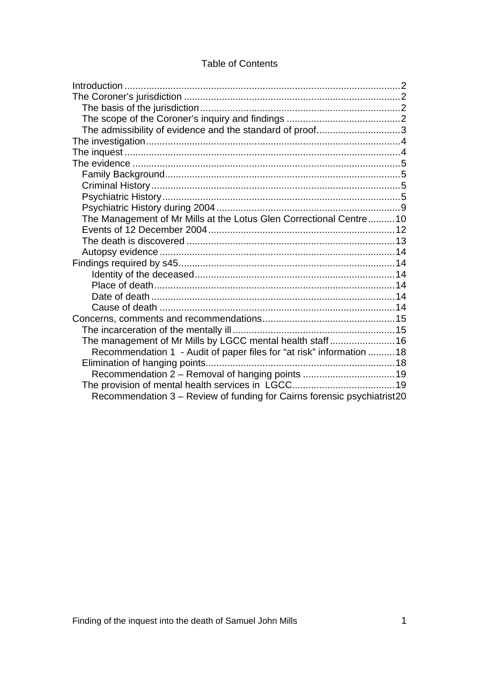#### Table of Contents

| The admissibility of evidence and the standard of proof3                |  |
|-------------------------------------------------------------------------|--|
|                                                                         |  |
|                                                                         |  |
|                                                                         |  |
|                                                                         |  |
|                                                                         |  |
|                                                                         |  |
|                                                                         |  |
| The Management of Mr Mills at the Lotus Glen Correctional Centre 10     |  |
|                                                                         |  |
|                                                                         |  |
|                                                                         |  |
|                                                                         |  |
|                                                                         |  |
|                                                                         |  |
|                                                                         |  |
|                                                                         |  |
|                                                                         |  |
|                                                                         |  |
| The management of Mr Mills by LGCC mental health staff16                |  |
| Recommendation 1 - Audit of paper files for "at risk" information  18   |  |
|                                                                         |  |
|                                                                         |  |
|                                                                         |  |
| Recommendation 3 - Review of funding for Cairns forensic psychiatrist20 |  |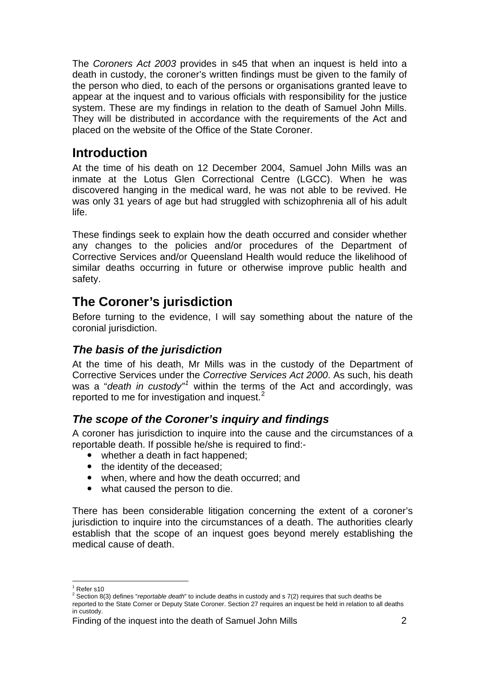<span id="page-2-0"></span>The *Coroners Act 2003* provides in s45 that when an inquest is held into a death in custody, the coroner's written findings must be given to the family of the person who died, to each of the persons or organisations granted leave to appear at the inquest and to various officials with responsibility for the justice system. These are my findings in relation to the death of Samuel John Mills. They will be distributed in accordance with the requirements of the Act and placed on the website of the Office of the State Coroner.

## **Introduction**

At the time of his death on 12 December 2004, Samuel John Mills was an inmate at the Lotus Glen Correctional Centre (LGCC). When he was discovered hanging in the medical ward, he was not able to be revived. He was only 31 years of age but had struggled with schizophrenia all of his adult life.

These findings seek to explain how the death occurred and consider whether any changes to the policies and/or procedures of the Department of Corrective Services and/or Queensland Health would reduce the likelihood of similar deaths occurring in future or otherwise improve public health and safety.

## **The Coroner's jurisdiction**

Before turning to the evidence, I will say something about the nature of the coronial jurisdiction.

#### *The basis of the jurisdiction*

At the time of his death, Mr Mills was in the custody of the Department of Corrective Services under the *Corrective Services Act 2000*. As such, his death was a "*death in custody"*<sup>[1](#page-2-1)</sup> within the terms of the Act and accordingly, was reported to me for investigation and inquest.<sup>[2](#page-2-2)</sup>

### *The scope of the Coroner's inquiry and findings*

A coroner has jurisdiction to inquire into the cause and the circumstances of a reportable death. If possible he/she is required to find:-

- $\bullet$  whether a death in fact happened:
- $\bullet$  the identity of the deceased;
- when, where and how the death occurred; and
- what caused the person to die.

There has been considerable litigation concerning the extent of a coroner's jurisdiction to inquire into the circumstances of a death. The authorities clearly establish that the scope of an inquest goes beyond merely establishing the medical cause of death.

l <sup>1</sup> Refer s10

<span id="page-2-2"></span><span id="page-2-1"></span><sup>2</sup> Section 8(3) defines "*reportable death*" to include deaths in custody and s 7(2) requires that such deaths be reported to the State Corner or Deputy State Coroner. Section 27 requires an inquest be held in relation to all deaths in custody.

Finding of the inquest into the death of Samuel John Mills 2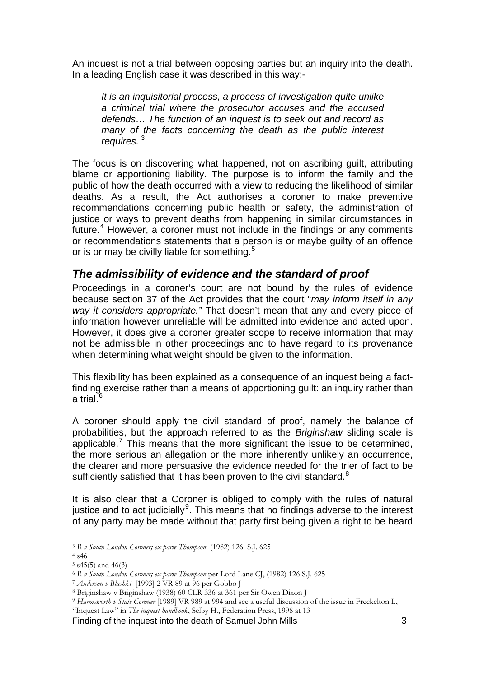<span id="page-3-0"></span>An inquest is not a trial between opposing parties but an inquiry into the death. In a leading English case it was described in this way:-

*It is an inquisitorial process, a process of investigation quite unlike a criminal trial where the prosecutor accuses and the accused defends… The function of an inquest is to seek out and record as many of the facts concerning the death as the public interest requires.* [3](#page-3-1)

The focus is on discovering what happened, not on ascribing guilt, attributing blame or apportioning liability. The purpose is to inform the family and the public of how the death occurred with a view to reducing the likelihood of similar deaths. As a result, the Act authorises a coroner to make preventive recommendations concerning public health or safety, the administration of justice or ways to prevent deaths from happening in similar circumstances in future.<sup>[4](#page-3-2)</sup> However, a coroner must not include in the findings or any comments or recommendations statements that a person is or maybe guilty of an offence or is or may be civilly liable for something.<sup>[5](#page-3-3)</sup>

#### *The admissibility of evidence and the standard of proof*

Proceedings in a coroner's court are not bound by the rules of evidence because section 37 of the Act provides that the court "*may inform itself in any way it considers appropriate."* That doesn't mean that any and every piece of information however unreliable will be admitted into evidence and acted upon. However, it does give a coroner greater scope to receive information that may not be admissible in other proceedings and to have regard to its provenance when determining what weight should be given to the information.

This flexibility has been explained as a consequence of an inquest being a factfinding exercise rather than a means of apportioning guilt: an inquiry rather than a trial. $^{\rm 6}$  $^{\rm 6}$  $^{\rm 6}$ 

A coroner should apply the civil standard of proof, namely the balance of probabilities, but the approach referred to as the *Briginshaw* sliding scale is applicable.<sup>[7](#page-3-5)</sup> This means that the more significant the issue to be determined, the more serious an allegation or the more inherently unlikely an occurrence, the clearer and more persuasive the evidence needed for the trier of fact to be sufficiently satisfied that it has been proven to the civil standard. $8$ 

It is also clear that a Coroner is obliged to comply with the rules of natural justice and to act judicially $9$ . This means that no findings adverse to the interest of any party may be made without that party first being given a right to be heard

l

Finding of the inquest into the death of Samuel John Mills 3

<span id="page-3-1"></span><sup>3</sup> *R v South London Coroner; ex parte Thompson* (1982) 126 S.J. 625 4 s46

<span id="page-3-3"></span><span id="page-3-2"></span> $5$  s45(5) and 46(3)

<span id="page-3-5"></span><span id="page-3-4"></span><sup>6</sup> *R v South London Coroner; ex parte Thompson* per Lord Lane CJ, (1982) 126 S.J. 625 7 *Anderson v Blashki* [1993] 2 VR 89 at 96 per Gobbo J 8 Briginshaw v Briginshaw (1938) 60 CLR 336 at 361 per Sir Owen Dixon J

<span id="page-3-7"></span><span id="page-3-6"></span><sup>9</sup> *Harmsworth v State Coroner* [1989] VR 989 at 994 and see a useful discussion of the issue in Freckelton I.,

<sup>&</sup>quot;Inquest Law" in *The inquest handbook*, Selby H., Federation Press, 1998 at 13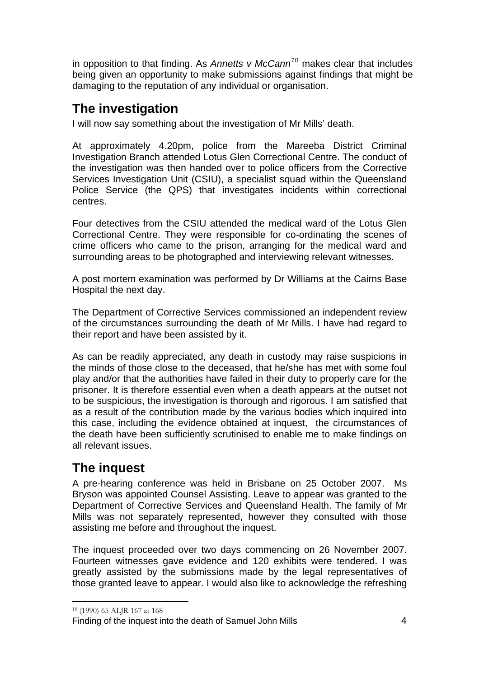<span id="page-4-0"></span>in opposition to that finding. As *Annetts v McCann[10](#page-4-1)* makes clear that includes being given an opportunity to make submissions against findings that might be damaging to the reputation of any individual or organisation.

## **The investigation**

I will now say something about the investigation of Mr Mills' death.

At approximately 4.20pm, police from the Mareeba District Criminal Investigation Branch attended Lotus Glen Correctional Centre. The conduct of the investigation was then handed over to police officers from the Corrective Services Investigation Unit (CSIU), a specialist squad within the Queensland Police Service (the QPS) that investigates incidents within correctional centres.

Four detectives from the CSIU attended the medical ward of the Lotus Glen Correctional Centre. They were responsible for co-ordinating the scenes of crime officers who came to the prison, arranging for the medical ward and surrounding areas to be photographed and interviewing relevant witnesses.

A post mortem examination was performed by Dr Williams at the Cairns Base Hospital the next day.

The Department of Corrective Services commissioned an independent review of the circumstances surrounding the death of Mr Mills. I have had regard to their report and have been assisted by it.

As can be readily appreciated, any death in custody may raise suspicions in the minds of those close to the deceased, that he/she has met with some foul play and/or that the authorities have failed in their duty to properly care for the prisoner. It is therefore essential even when a death appears at the outset not to be suspicious, the investigation is thorough and rigorous. I am satisfied that as a result of the contribution made by the various bodies which inquired into this case, including the evidence obtained at inquest, the circumstances of the death have been sufficiently scrutinised to enable me to make findings on all relevant issues.

## **The inquest**

A pre-hearing conference was held in Brisbane on 25 October 2007. Ms Bryson was appointed Counsel Assisting. Leave to appear was granted to the Department of Corrective Services and Queensland Health. The family of Mr Mills was not separately represented, however they consulted with those assisting me before and throughout the inquest.

The inquest proceeded over two days commencing on 26 November 2007. Fourteen witnesses gave evidence and 120 exhibits were tendered. I was greatly assisted by the submissions made by the legal representatives of those granted leave to appear. I would also like to acknowledge the refreshing

l 10 (1990) 65 ALJR 167 at 168

<span id="page-4-1"></span>Finding of the inquest into the death of Samuel John Mills 4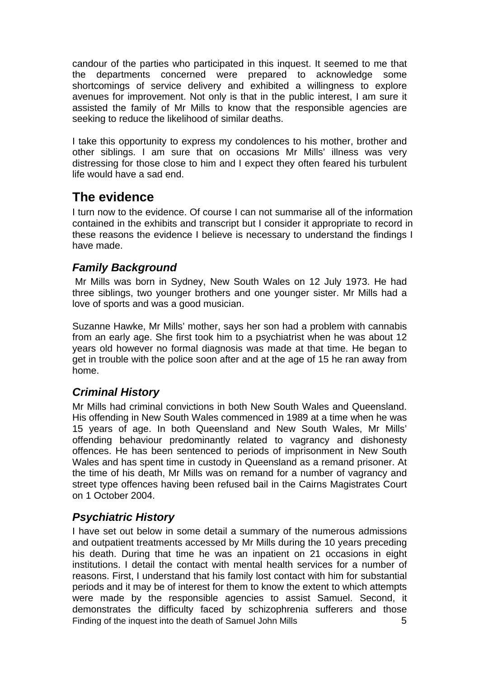<span id="page-5-0"></span>candour of the parties who participated in this inquest. It seemed to me that the departments concerned were prepared to acknowledge some shortcomings of service delivery and exhibited a willingness to explore avenues for improvement. Not only is that in the public interest, I am sure it assisted the family of Mr Mills to know that the responsible agencies are seeking to reduce the likelihood of similar deaths.

I take this opportunity to express my condolences to his mother, brother and other siblings. I am sure that on occasions Mr Mills' illness was very distressing for those close to him and I expect they often feared his turbulent life would have a sad end.

## **The evidence**

I turn now to the evidence. Of course I can not summarise all of the information contained in the exhibits and transcript but I consider it appropriate to record in these reasons the evidence I believe is necessary to understand the findings I have made.

## *Family Background*

 Mr Mills was born in Sydney, New South Wales on 12 July 1973. He had three siblings, two younger brothers and one younger sister. Mr Mills had a love of sports and was a good musician.

Suzanne Hawke, Mr Mills' mother, says her son had a problem with cannabis from an early age. She first took him to a psychiatrist when he was about 12 years old however no formal diagnosis was made at that time. He began to get in trouble with the police soon after and at the age of 15 he ran away from home.

## *Criminal History*

Mr Mills had criminal convictions in both New South Wales and Queensland. His offending in New South Wales commenced in 1989 at a time when he was 15 years of age. In both Queensland and New South Wales, Mr Mills' offending behaviour predominantly related to vagrancy and dishonesty offences. He has been sentenced to periods of imprisonment in New South Wales and has spent time in custody in Queensland as a remand prisoner. At the time of his death, Mr Mills was on remand for a number of vagrancy and street type offences having been refused bail in the Cairns Magistrates Court on 1 October 2004.

## *Psychiatric History*

Finding of the inquest into the death of Samuel John Mills **5** I have set out below in some detail a summary of the numerous admissions and outpatient treatments accessed by Mr Mills during the 10 years preceding his death. During that time he was an inpatient on 21 occasions in eight institutions. I detail the contact with mental health services for a number of reasons. First, I understand that his family lost contact with him for substantial periods and it may be of interest for them to know the extent to which attempts were made by the responsible agencies to assist Samuel. Second, it demonstrates the difficulty faced by schizophrenia sufferers and those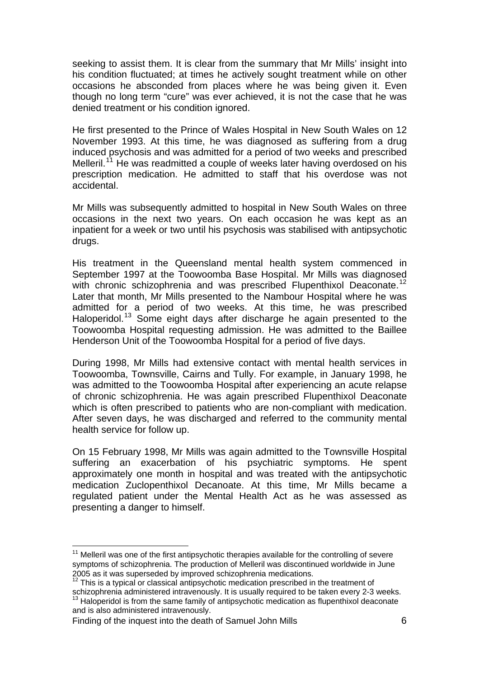seeking to assist them. It is clear from the summary that Mr Mills' insight into his condition fluctuated; at times he actively sought treatment while on other occasions he absconded from places where he was being given it. Even though no long term "cure" was ever achieved, it is not the case that he was denied treatment or his condition ignored.

He first presented to the Prince of Wales Hospital in New South Wales on 12 November 1993. At this time, he was diagnosed as suffering from a drug induced psychosis and was admitted for a period of two weeks and prescribed Melleril.<sup>[11](#page-6-0)</sup> He was readmitted a couple of weeks later having overdosed on his prescription medication. He admitted to staff that his overdose was not accidental.

Mr Mills was subsequently admitted to hospital in New South Wales on three occasions in the next two years. On each occasion he was kept as an inpatient for a week or two until his psychosis was stabilised with antipsychotic drugs.

His treatment in the Queensland mental health system commenced in September 1997 at the Toowoomba Base Hospital. Mr Mills was diagnosed with chronic schizophrenia and was prescribed Flupenthixol Deaconate.<sup>[12](#page-6-1)</sup> Later that month, Mr Mills presented to the Nambour Hospital where he was admitted for a period of two weeks. At this time, he was prescribed Haloperidol.[13](#page-6-2) Some eight days after discharge he again presented to the Toowoomba Hospital requesting admission. He was admitted to the Baillee Henderson Unit of the Toowoomba Hospital for a period of five days.

During 1998, Mr Mills had extensive contact with mental health services in Toowoomba, Townsville, Cairns and Tully. For example, in January 1998, he was admitted to the Toowoomba Hospital after experiencing an acute relapse of chronic schizophrenia. He was again prescribed Flupenthixol Deaconate which is often prescribed to patients who are non-compliant with medication. After seven days, he was discharged and referred to the community mental health service for follow up.

On 15 February 1998, Mr Mills was again admitted to the Townsville Hospital suffering an exacerbation of his psychiatric symptoms. He spent approximately one month in hospital and was treated with the antipsychotic medication Zuclopenthixol Decanoate. At this time, Mr Mills became a regulated patient under the Mental Health Act as he was assessed as presenting a danger to himself.

Finding of the inquest into the death of Samuel John Mills 6

l

<span id="page-6-0"></span> $11$  Melleril was one of the first antipsychotic therapies available for the controlling of severe symptoms of schizophrenia. The production of Melleril was discontinued worldwide in June 2005 as it was superseded by improved schizophrenia medications. 12 This is a typical or classical antipsychotic medication prescribed in the treatment of

<span id="page-6-2"></span><span id="page-6-1"></span>schizophrenia administered intravenously. It is usually required to be taken every 2-3 weeks.<br><sup>13</sup> Haloperidol is from the same family of antipsychotic medication as flupenthixol deaconate and is also administered intravenously.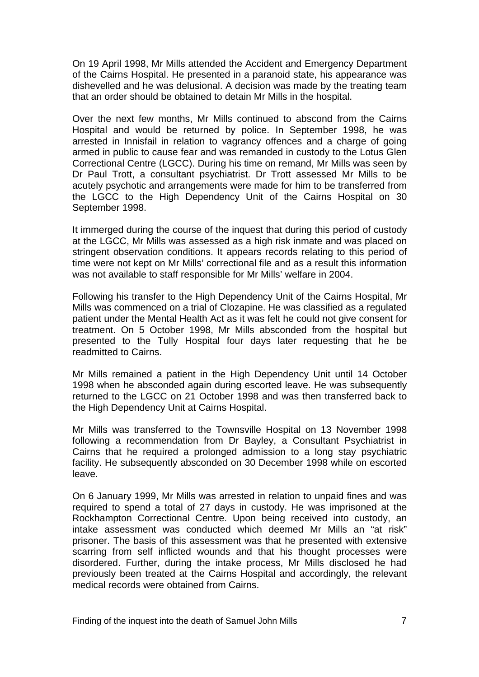On 19 April 1998, Mr Mills attended the Accident and Emergency Department of the Cairns Hospital. He presented in a paranoid state, his appearance was dishevelled and he was delusional. A decision was made by the treating team that an order should be obtained to detain Mr Mills in the hospital.

Over the next few months, Mr Mills continued to abscond from the Cairns Hospital and would be returned by police. In September 1998, he was arrested in Innisfail in relation to vagrancy offences and a charge of going armed in public to cause fear and was remanded in custody to the Lotus Glen Correctional Centre (LGCC). During his time on remand, Mr Mills was seen by Dr Paul Trott, a consultant psychiatrist. Dr Trott assessed Mr Mills to be acutely psychotic and arrangements were made for him to be transferred from the LGCC to the High Dependency Unit of the Cairns Hospital on 30 September 1998.

It immerged during the course of the inquest that during this period of custody at the LGCC, Mr Mills was assessed as a high risk inmate and was placed on stringent observation conditions. It appears records relating to this period of time were not kept on Mr Mills' correctional file and as a result this information was not available to staff responsible for Mr Mills' welfare in 2004.

Following his transfer to the High Dependency Unit of the Cairns Hospital, Mr Mills was commenced on a trial of Clozapine. He was classified as a regulated patient under the Mental Health Act as it was felt he could not give consent for treatment. On 5 October 1998, Mr Mills absconded from the hospital but presented to the Tully Hospital four days later requesting that he be readmitted to Cairns.

Mr Mills remained a patient in the High Dependency Unit until 14 October 1998 when he absconded again during escorted leave. He was subsequently returned to the LGCC on 21 October 1998 and was then transferred back to the High Dependency Unit at Cairns Hospital.

Mr Mills was transferred to the Townsville Hospital on 13 November 1998 following a recommendation from Dr Bayley, a Consultant Psychiatrist in Cairns that he required a prolonged admission to a long stay psychiatric facility. He subsequently absconded on 30 December 1998 while on escorted leave.

On 6 January 1999, Mr Mills was arrested in relation to unpaid fines and was required to spend a total of 27 days in custody. He was imprisoned at the Rockhampton Correctional Centre. Upon being received into custody, an intake assessment was conducted which deemed Mr Mills an "at risk" prisoner. The basis of this assessment was that he presented with extensive scarring from self inflicted wounds and that his thought processes were disordered. Further, during the intake process, Mr Mills disclosed he had previously been treated at the Cairns Hospital and accordingly, the relevant medical records were obtained from Cairns.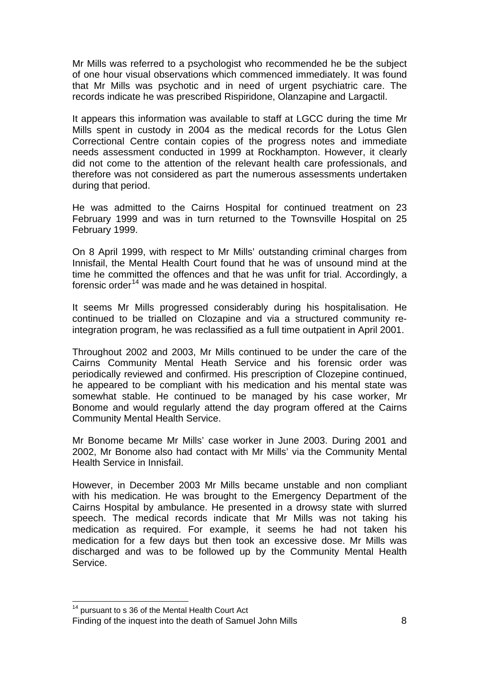Mr Mills was referred to a psychologist who recommended he be the subject of one hour visual observations which commenced immediately. It was found that Mr Mills was psychotic and in need of urgent psychiatric care. The records indicate he was prescribed Rispiridone, Olanzapine and Largactil.

It appears this information was available to staff at LGCC during the time Mr Mills spent in custody in 2004 as the medical records for the Lotus Glen Correctional Centre contain copies of the progress notes and immediate needs assessment conducted in 1999 at Rockhampton. However, it clearly did not come to the attention of the relevant health care professionals, and therefore was not considered as part the numerous assessments undertaken during that period.

He was admitted to the Cairns Hospital for continued treatment on 23 February 1999 and was in turn returned to the Townsville Hospital on 25 February 1999.

On 8 April 1999, with respect to Mr Mills' outstanding criminal charges from Innisfail, the Mental Health Court found that he was of unsound mind at the time he committed the offences and that he was unfit for trial. Accordingly, a forensic order<sup>[14](#page-8-0)</sup> was made and he was detained in hospital.

It seems Mr Mills progressed considerably during his hospitalisation. He continued to be trialled on Clozapine and via a structured community reintegration program, he was reclassified as a full time outpatient in April 2001.

Throughout 2002 and 2003, Mr Mills continued to be under the care of the Cairns Community Mental Heath Service and his forensic order was periodically reviewed and confirmed. His prescription of Clozepine continued, he appeared to be compliant with his medication and his mental state was somewhat stable. He continued to be managed by his case worker, Mr Bonome and would regularly attend the day program offered at the Cairns Community Mental Health Service.

Mr Bonome became Mr Mills' case worker in June 2003. During 2001 and 2002, Mr Bonome also had contact with Mr Mills' via the Community Mental Health Service in Innisfail.

However, in December 2003 Mr Mills became unstable and non compliant with his medication. He was brought to the Emergency Department of the Cairns Hospital by ambulance. He presented in a drowsy state with slurred speech. The medical records indicate that Mr Mills was not taking his medication as required. For example, it seems he had not taken his medication for a few days but then took an excessive dose. Mr Mills was discharged and was to be followed up by the Community Mental Health Service.

l

<sup>&</sup>lt;sup>14</sup> pursuant to s 36 of the Mental Health Court Act

<span id="page-8-0"></span>Finding of the inquest into the death of Samuel John Mills **8** 8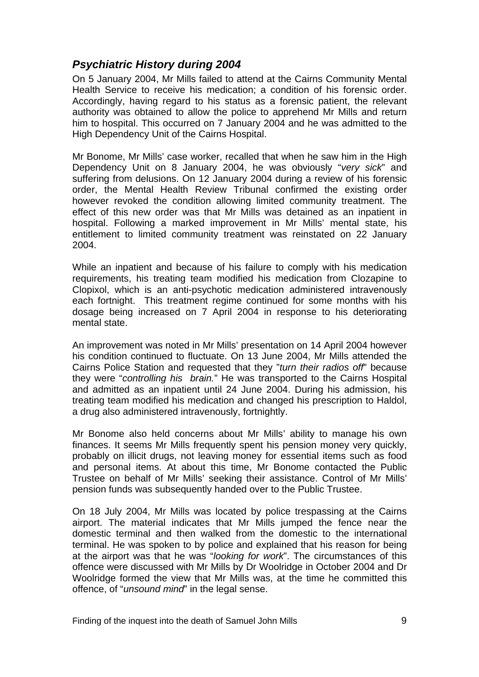#### <span id="page-9-0"></span>*Psychiatric History during 2004*

On 5 January 2004, Mr Mills failed to attend at the Cairns Community Mental Health Service to receive his medication; a condition of his forensic order. Accordingly, having regard to his status as a forensic patient, the relevant authority was obtained to allow the police to apprehend Mr Mills and return him to hospital. This occurred on 7 January 2004 and he was admitted to the High Dependency Unit of the Cairns Hospital.

Mr Bonome, Mr Mills' case worker, recalled that when he saw him in the High Dependency Unit on 8 January 2004, he was obviously "*very sick*" and suffering from delusions. On 12 January 2004 during a review of his forensic order, the Mental Health Review Tribunal confirmed the existing order however revoked the condition allowing limited community treatment. The effect of this new order was that Mr Mills was detained as an inpatient in hospital. Following a marked improvement in Mr Mills' mental state, his entitlement to limited community treatment was reinstated on 22 January 2004.

While an inpatient and because of his failure to comply with his medication requirements, his treating team modified his medication from Clozapine to Clopixol, which is an anti-psychotic medication administered intravenously each fortnight. This treatment regime continued for some months with his dosage being increased on 7 April 2004 in response to his deteriorating mental state.

An improvement was noted in Mr Mills' presentation on 14 April 2004 however his condition continued to fluctuate. On 13 June 2004, Mr Mills attended the Cairns Police Station and requested that they "*turn their radios off*" because they were "*controlling his brain.*" He was transported to the Cairns Hospital and admitted as an inpatient until 24 June 2004. During his admission, his treating team modified his medication and changed his prescription to Haldol, a drug also administered intravenously, fortnightly.

Mr Bonome also held concerns about Mr Mills' ability to manage his own finances. It seems Mr Mills frequently spent his pension money very quickly, probably on illicit drugs, not leaving money for essential items such as food and personal items. At about this time, Mr Bonome contacted the Public Trustee on behalf of Mr Mills' seeking their assistance. Control of Mr Mills' pension funds was subsequently handed over to the Public Trustee.

On 18 July 2004, Mr Mills was located by police trespassing at the Cairns airport. The material indicates that Mr Mills jumped the fence near the domestic terminal and then walked from the domestic to the international terminal. He was spoken to by police and explained that his reason for being at the airport was that he was "*looking for work*". The circumstances of this offence were discussed with Mr Mills by Dr Woolridge in October 2004 and Dr Woolridge formed the view that Mr Mills was, at the time he committed this offence, of "*unsound mind*" in the legal sense.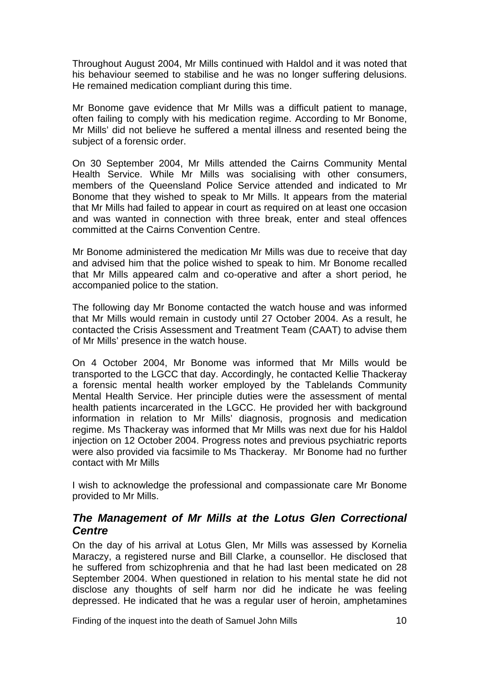<span id="page-10-0"></span>Throughout August 2004, Mr Mills continued with Haldol and it was noted that his behaviour seemed to stabilise and he was no longer suffering delusions. He remained medication compliant during this time.

Mr Bonome gave evidence that Mr Mills was a difficult patient to manage, often failing to comply with his medication regime. According to Mr Bonome, Mr Mills' did not believe he suffered a mental illness and resented being the subject of a forensic order.

On 30 September 2004, Mr Mills attended the Cairns Community Mental Health Service. While Mr Mills was socialising with other consumers, members of the Queensland Police Service attended and indicated to Mr Bonome that they wished to speak to Mr Mills. It appears from the material that Mr Mills had failed to appear in court as required on at least one occasion and was wanted in connection with three break, enter and steal offences committed at the Cairns Convention Centre.

Mr Bonome administered the medication Mr Mills was due to receive that day and advised him that the police wished to speak to him. Mr Bonome recalled that Mr Mills appeared calm and co-operative and after a short period, he accompanied police to the station.

The following day Mr Bonome contacted the watch house and was informed that Mr Mills would remain in custody until 27 October 2004. As a result, he contacted the Crisis Assessment and Treatment Team (CAAT) to advise them of Mr Mills' presence in the watch house.

On 4 October 2004, Mr Bonome was informed that Mr Mills would be transported to the LGCC that day. Accordingly, he contacted Kellie Thackeray a forensic mental health worker employed by the Tablelands Community Mental Health Service. Her principle duties were the assessment of mental health patients incarcerated in the LGCC. He provided her with background information in relation to Mr Mills' diagnosis, prognosis and medication regime. Ms Thackeray was informed that Mr Mills was next due for his Haldol injection on 12 October 2004. Progress notes and previous psychiatric reports were also provided via facsimile to Ms Thackeray. Mr Bonome had no further contact with Mr Mills

I wish to acknowledge the professional and compassionate care Mr Bonome provided to Mr Mills.

#### *The Management of Mr Mills at the Lotus Glen Correctional Centre*

On the day of his arrival at Lotus Glen, Mr Mills was assessed by Kornelia Maraczy, a registered nurse and Bill Clarke, a counsellor. He disclosed that he suffered from schizophrenia and that he had last been medicated on 28 September 2004. When questioned in relation to his mental state he did not disclose any thoughts of self harm nor did he indicate he was feeling depressed. He indicated that he was a regular user of heroin, amphetamines

Finding of the inquest into the death of Samuel John Mills 10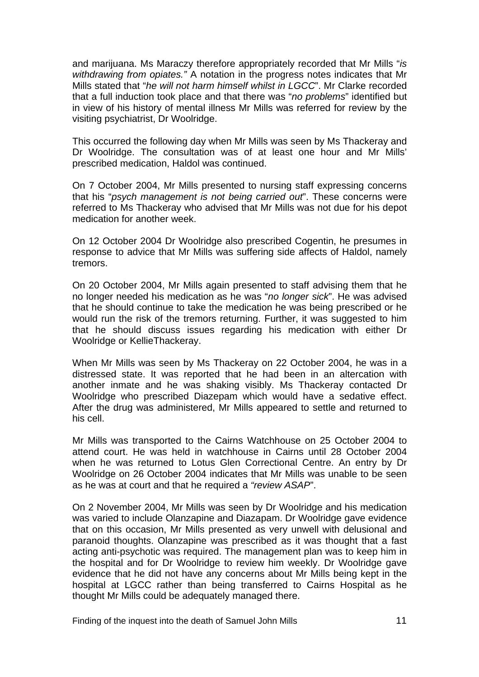and marijuana. Ms Maraczy therefore appropriately recorded that Mr Mills "*is withdrawing from opiates."* A notation in the progress notes indicates that Mr Mills stated that "*he will not harm himself whilst in LGCC*". Mr Clarke recorded that a full induction took place and that there was "*no problems*" identified but in view of his history of mental illness Mr Mills was referred for review by the visiting psychiatrist, Dr Woolridge.

This occurred the following day when Mr Mills was seen by Ms Thackeray and Dr Woolridge. The consultation was of at least one hour and Mr Mills' prescribed medication, Haldol was continued.

On 7 October 2004, Mr Mills presented to nursing staff expressing concerns that his "*psych management is not being carried out*". These concerns were referred to Ms Thackeray who advised that Mr Mills was not due for his depot medication for another week.

On 12 October 2004 Dr Woolridge also prescribed Cogentin, he presumes in response to advice that Mr Mills was suffering side affects of Haldol, namely tremors.

On 20 October 2004, Mr Mills again presented to staff advising them that he no longer needed his medication as he was "*no longer sick*". He was advised that he should continue to take the medication he was being prescribed or he would run the risk of the tremors returning. Further, it was suggested to him that he should discuss issues regarding his medication with either Dr Woolridge or KellieThackeray.

When Mr Mills was seen by Ms Thackeray on 22 October 2004, he was in a distressed state. It was reported that he had been in an altercation with another inmate and he was shaking visibly. Ms Thackeray contacted Dr Woolridge who prescribed Diazepam which would have a sedative effect. After the drug was administered, Mr Mills appeared to settle and returned to his cell.

Mr Mills was transported to the Cairns Watchhouse on 25 October 2004 to attend court. He was held in watchhouse in Cairns until 28 October 2004 when he was returned to Lotus Glen Correctional Centre. An entry by Dr Woolridge on 26 October 2004 indicates that Mr Mills was unable to be seen as he was at court and that he required a *"review ASAP*".

On 2 November 2004, Mr Mills was seen by Dr Woolridge and his medication was varied to include Olanzapine and Diazapam. Dr Woolridge gave evidence that on this occasion, Mr Mills presented as very unwell with delusional and paranoid thoughts. Olanzapine was prescribed as it was thought that a fast acting anti-psychotic was required. The management plan was to keep him in the hospital and for Dr Woolridge to review him weekly. Dr Woolridge gave evidence that he did not have any concerns about Mr Mills being kept in the hospital at LGCC rather than being transferred to Cairns Hospital as he thought Mr Mills could be adequately managed there.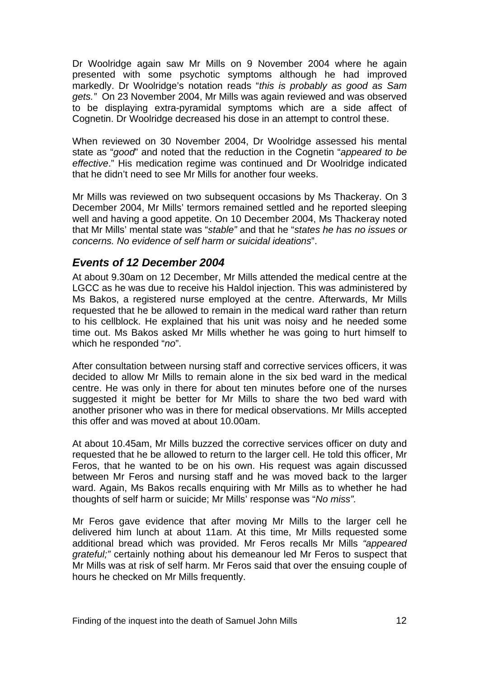<span id="page-12-0"></span>Dr Woolridge again saw Mr Mills on 9 November 2004 where he again presented with some psychotic symptoms although he had improved markedly. Dr Woolridge's notation reads "*this is probably as good as Sam gets."* On 23 November 2004, Mr Mills was again reviewed and was observed to be displaying extra-pyramidal symptoms which are a side affect of Cognetin. Dr Woolridge decreased his dose in an attempt to control these.

When reviewed on 30 November 2004, Dr Woolridge assessed his mental state as "*good*" and noted that the reduction in the Cognetin "*appeared to be effective*." His medication regime was continued and Dr Woolridge indicated that he didn't need to see Mr Mills for another four weeks.

Mr Mills was reviewed on two subsequent occasions by Ms Thackeray. On 3 December 2004, Mr Mills' termors remained settled and he reported sleeping well and having a good appetite. On 10 December 2004, Ms Thackeray noted that Mr Mills' mental state was "*stable"* and that he "*states he has no issues or concerns. No evidence of self harm or suicidal ideations*".

#### *Events of 12 December 2004*

At about 9.30am on 12 December, Mr Mills attended the medical centre at the LGCC as he was due to receive his Haldol injection. This was administered by Ms Bakos, a registered nurse employed at the centre. Afterwards, Mr Mills requested that he be allowed to remain in the medical ward rather than return to his cellblock. He explained that his unit was noisy and he needed some time out. Ms Bakos asked Mr Mills whether he was going to hurt himself to which he responded "*no*".

After consultation between nursing staff and corrective services officers, it was decided to allow Mr Mills to remain alone in the six bed ward in the medical centre. He was only in there for about ten minutes before one of the nurses suggested it might be better for Mr Mills to share the two bed ward with another prisoner who was in there for medical observations. Mr Mills accepted this offer and was moved at about 10.00am.

At about 10.45am, Mr Mills buzzed the corrective services officer on duty and requested that he be allowed to return to the larger cell. He told this officer, Mr Feros, that he wanted to be on his own. His request was again discussed between Mr Feros and nursing staff and he was moved back to the larger ward. Again, Ms Bakos recalls enquiring with Mr Mills as to whether he had thoughts of self harm or suicide; Mr Mills' response was "*No miss".*

Mr Feros gave evidence that after moving Mr Mills to the larger cell he delivered him lunch at about 11am. At this time, Mr Mills requested some additional bread which was provided. Mr Feros recalls Mr Mills *"appeared grateful;"* certainly nothing about his demeanour led Mr Feros to suspect that Mr Mills was at risk of self harm. Mr Feros said that over the ensuing couple of hours he checked on Mr Mills frequently.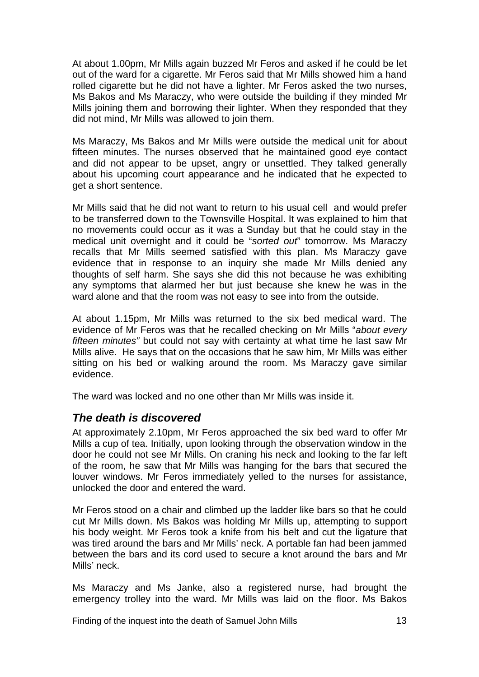<span id="page-13-0"></span>At about 1.00pm, Mr Mills again buzzed Mr Feros and asked if he could be let out of the ward for a cigarette. Mr Feros said that Mr Mills showed him a hand rolled cigarette but he did not have a lighter. Mr Feros asked the two nurses, Ms Bakos and Ms Maraczy, who were outside the building if they minded Mr Mills joining them and borrowing their lighter. When they responded that they did not mind, Mr Mills was allowed to join them.

Ms Maraczy, Ms Bakos and Mr Mills were outside the medical unit for about fifteen minutes. The nurses observed that he maintained good eye contact and did not appear to be upset, angry or unsettled. They talked generally about his upcoming court appearance and he indicated that he expected to get a short sentence.

Mr Mills said that he did not want to return to his usual cell and would prefer to be transferred down to the Townsville Hospital. It was explained to him that no movements could occur as it was a Sunday but that he could stay in the medical unit overnight and it could be "*sorted out*" tomorrow. Ms Maraczy recalls that Mr Mills seemed satisfied with this plan. Ms Maraczy gave evidence that in response to an inquiry she made Mr Mills denied any thoughts of self harm. She says she did this not because he was exhibiting any symptoms that alarmed her but just because she knew he was in the ward alone and that the room was not easy to see into from the outside.

At about 1.15pm, Mr Mills was returned to the six bed medical ward. The evidence of Mr Feros was that he recalled checking on Mr Mills "*about every fifteen minutes"* but could not say with certainty at what time he last saw Mr Mills alive. He says that on the occasions that he saw him, Mr Mills was either sitting on his bed or walking around the room. Ms Maraczy gave similar evidence.

The ward was locked and no one other than Mr Mills was inside it.

#### *The death is discovered*

At approximately 2.10pm, Mr Feros approached the six bed ward to offer Mr Mills a cup of tea. Initially, upon looking through the observation window in the door he could not see Mr Mills. On craning his neck and looking to the far left of the room, he saw that Mr Mills was hanging for the bars that secured the louver windows. Mr Feros immediately yelled to the nurses for assistance, unlocked the door and entered the ward.

Mr Feros stood on a chair and climbed up the ladder like bars so that he could cut Mr Mills down. Ms Bakos was holding Mr Mills up, attempting to support his body weight. Mr Feros took a knife from his belt and cut the ligature that was tired around the bars and Mr Mills' neck. A portable fan had been jammed between the bars and its cord used to secure a knot around the bars and Mr Mills' neck.

Ms Maraczy and Ms Janke, also a registered nurse, had brought the emergency trolley into the ward. Mr Mills was laid on the floor. Ms Bakos

Finding of the inquest into the death of Samuel John Mills 13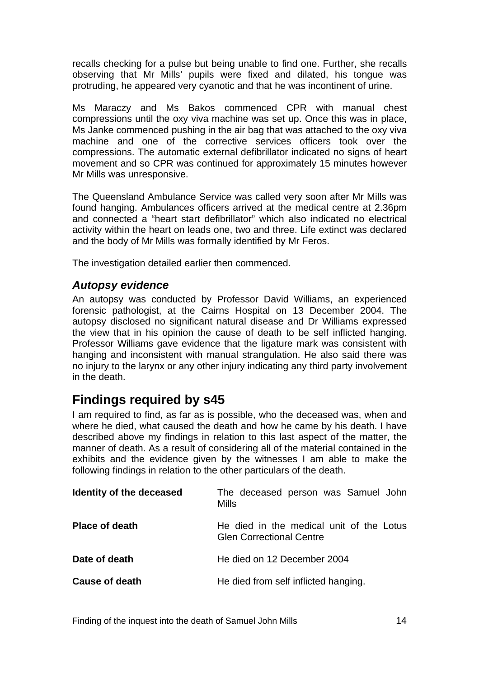<span id="page-14-0"></span>recalls checking for a pulse but being unable to find one. Further, she recalls observing that Mr Mills' pupils were fixed and dilated, his tongue was protruding, he appeared very cyanotic and that he was incontinent of urine.

Ms Maraczy and Ms Bakos commenced CPR with manual chest compressions until the oxy viva machine was set up. Once this was in place, Ms Janke commenced pushing in the air bag that was attached to the oxy viva machine and one of the corrective services officers took over the compressions. The automatic external defibrillator indicated no signs of heart movement and so CPR was continued for approximately 15 minutes however Mr Mills was unresponsive.

The Queensland Ambulance Service was called very soon after Mr Mills was found hanging. Ambulances officers arrived at the medical centre at 2.36pm and connected a "heart start defibrillator" which also indicated no electrical activity within the heart on leads one, two and three. Life extinct was declared and the body of Mr Mills was formally identified by Mr Feros.

The investigation detailed earlier then commenced.

#### *Autopsy evidence*

An autopsy was conducted by Professor David Williams, an experienced forensic pathologist, at the Cairns Hospital on 13 December 2004. The autopsy disclosed no significant natural disease and Dr Williams expressed the view that in his opinion the cause of death to be self inflicted hanging. Professor Williams gave evidence that the ligature mark was consistent with hanging and inconsistent with manual strangulation. He also said there was no injury to the larynx or any other injury indicating any third party involvement in the death.

## **Findings required by s45**

I am required to find, as far as is possible, who the deceased was, when and where he died, what caused the death and how he came by his death. I have described above my findings in relation to this last aspect of the matter, the manner of death. As a result of considering all of the material contained in the exhibits and the evidence given by the witnesses I am able to make the following findings in relation to the other particulars of the death.

| Identity of the deceased | The deceased person was Samuel John<br>Mills                                |
|--------------------------|-----------------------------------------------------------------------------|
| <b>Place of death</b>    | He died in the medical unit of the Lotus<br><b>Glen Correctional Centre</b> |
| Date of death            | He died on 12 December 2004                                                 |
| Cause of death           | He died from self inflicted hanging.                                        |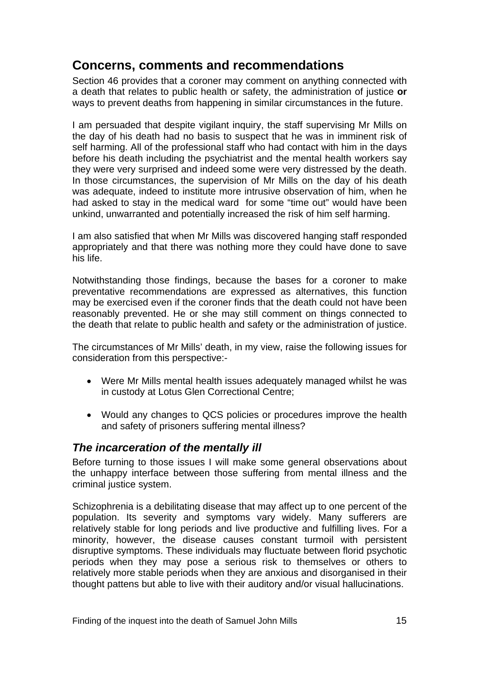## <span id="page-15-0"></span>**Concerns, comments and recommendations**

Section 46 provides that a coroner may comment on anything connected with a death that relates to public health or safety, the administration of justice **or** ways to prevent deaths from happening in similar circumstances in the future.

I am persuaded that despite vigilant inquiry, the staff supervising Mr Mills on the day of his death had no basis to suspect that he was in imminent risk of self harming. All of the professional staff who had contact with him in the days before his death including the psychiatrist and the mental health workers say they were very surprised and indeed some were very distressed by the death. In those circumstances, the supervision of Mr Mills on the day of his death was adequate, indeed to institute more intrusive observation of him, when he had asked to stay in the medical ward for some "time out" would have been unkind, unwarranted and potentially increased the risk of him self harming.

I am also satisfied that when Mr Mills was discovered hanging staff responded appropriately and that there was nothing more they could have done to save his life.

Notwithstanding those findings, because the bases for a coroner to make preventative recommendations are expressed as alternatives, this function may be exercised even if the coroner finds that the death could not have been reasonably prevented. He or she may still comment on things connected to the death that relate to public health and safety or the administration of justice.

The circumstances of Mr Mills' death, in my view, raise the following issues for consideration from this perspective:-

- Were Mr Mills mental health issues adequately managed whilst he was in custody at Lotus Glen Correctional Centre;
- Would any changes to QCS policies or procedures improve the health and safety of prisoners suffering mental illness?

#### *The incarceration of the mentally ill*

Before turning to those issues I will make some general observations about the unhappy interface between those suffering from mental illness and the criminal justice system.

Schizophrenia is a debilitating disease that may affect up to one percent of the population. Its severity and symptoms vary widely. Many sufferers are relatively stable for long periods and live productive and fulfilling lives. For a minority, however, the disease causes constant turmoil with persistent disruptive symptoms. These individuals may fluctuate between florid psychotic periods when they may pose a serious risk to themselves or others to relatively more stable periods when they are anxious and disorganised in their thought pattens but able to live with their auditory and/or visual hallucinations.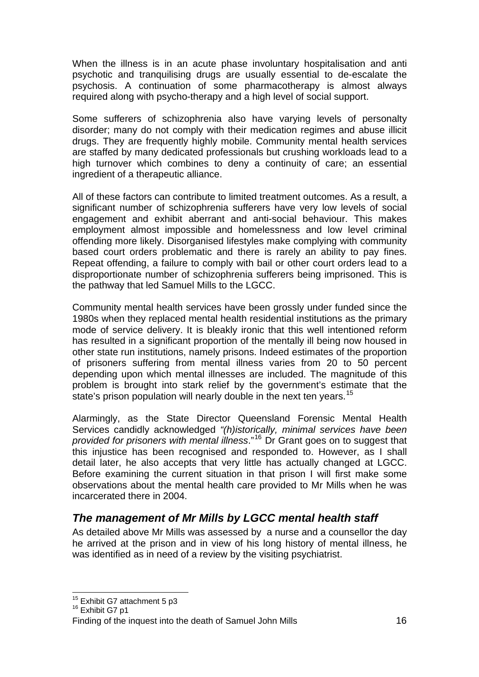<span id="page-16-0"></span>When the illness is in an acute phase involuntary hospitalisation and anti psychotic and tranquilising drugs are usually essential to de-escalate the psychosis. A continuation of some pharmacotherapy is almost always required along with psycho-therapy and a high level of social support.

Some sufferers of schizophrenia also have varying levels of personalty disorder; many do not comply with their medication regimes and abuse illicit drugs. They are frequently highly mobile. Community mental health services are staffed by many dedicated professionals but crushing workloads lead to a high turnover which combines to deny a continuity of care; an essential ingredient of a therapeutic alliance.

All of these factors can contribute to limited treatment outcomes. As a result, a significant number of schizophrenia sufferers have very low levels of social engagement and exhibit aberrant and anti-social behaviour. This makes employment almost impossible and homelessness and low level criminal offending more likely. Disorganised lifestyles make complying with community based court orders problematic and there is rarely an ability to pay fines. Repeat offending, a failure to comply with bail or other court orders lead to a disproportionate number of schizophrenia sufferers being imprisoned. This is the pathway that led Samuel Mills to the LGCC.

Community mental health services have been grossly under funded since the 1980s when they replaced mental health residential institutions as the primary mode of service delivery. It is bleakly ironic that this well intentioned reform has resulted in a significant proportion of the mentally ill being now housed in other state run institutions, namely prisons. Indeed estimates of the proportion of prisoners suffering from mental illness varies from 20 to 50 percent depending upon which mental illnesses are included. The magnitude of this problem is brought into stark relief by the government's estimate that the state's prison population will nearly double in the next ten years.<sup>[15](#page-16-1)</sup>

Alarmingly, as the State Director Queensland Forensic Mental Health Services candidly acknowledged *"(h)istorically, minimal services have been provided for prisoners with mental illness*."[16](#page-16-2) Dr Grant goes on to suggest that this injustice has been recognised and responded to. However, as I shall detail later, he also accepts that very little has actually changed at LGCC. Before examining the current situation in that prison I will first make some observations about the mental health care provided to Mr Mills when he was incarcerated there in 2004.

### *The management of Mr Mills by LGCC mental health staff*

As detailed above Mr Mills was assessed by a nurse and a counsellor the day he arrived at the prison and in view of his long history of mental illness, he was identified as in need of a review by the visiting psychiatrist.

l <sup>15</sup> Exhibit G7 attachment 5 p3<br><sup>16</sup> Exhibit G7 p1

<span id="page-16-1"></span>

<span id="page-16-2"></span>Finding of the inquest into the death of Samuel John Mills 16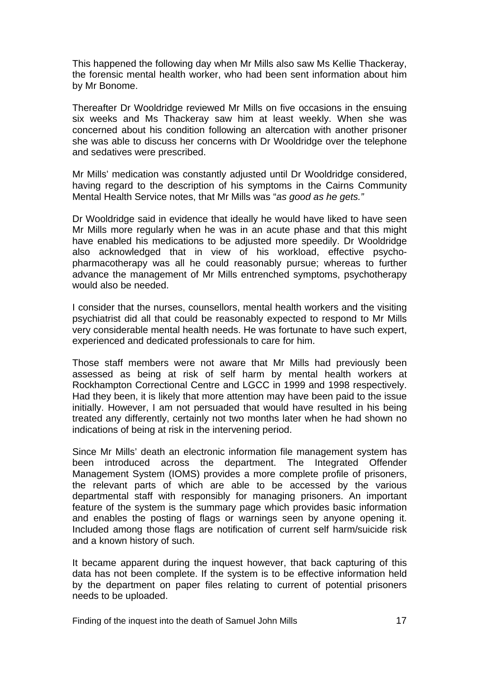This happened the following day when Mr Mills also saw Ms Kellie Thackeray, the forensic mental health worker, who had been sent information about him by Mr Bonome.

Thereafter Dr Wooldridge reviewed Mr Mills on five occasions in the ensuing six weeks and Ms Thackeray saw him at least weekly. When she was concerned about his condition following an altercation with another prisoner she was able to discuss her concerns with Dr Wooldridge over the telephone and sedatives were prescribed.

Mr Mills' medication was constantly adjusted until Dr Wooldridge considered, having regard to the description of his symptoms in the Cairns Community Mental Health Service notes, that Mr Mills was "*as good as he gets."*

Dr Wooldridge said in evidence that ideally he would have liked to have seen Mr Mills more regularly when he was in an acute phase and that this might have enabled his medications to be adjusted more speedily. Dr Wooldridge also acknowledged that in view of his workload, effective psychopharmacotherapy was all he could reasonably pursue; whereas to further advance the management of Mr Mills entrenched symptoms, psychotherapy would also be needed.

I consider that the nurses, counsellors, mental health workers and the visiting psychiatrist did all that could be reasonably expected to respond to Mr Mills very considerable mental health needs. He was fortunate to have such expert, experienced and dedicated professionals to care for him.

Those staff members were not aware that Mr Mills had previously been assessed as being at risk of self harm by mental health workers at Rockhampton Correctional Centre and LGCC in 1999 and 1998 respectively. Had they been, it is likely that more attention may have been paid to the issue initially. However, I am not persuaded that would have resulted in his being treated any differently, certainly not two months later when he had shown no indications of being at risk in the intervening period.

Since Mr Mills' death an electronic information file management system has been introduced across the department. The Integrated Offender Management System (IOMS) provides a more complete profile of prisoners, the relevant parts of which are able to be accessed by the various departmental staff with responsibly for managing prisoners. An important feature of the system is the summary page which provides basic information and enables the posting of flags or warnings seen by anyone opening it. Included among those flags are notification of current self harm/suicide risk and a known history of such.

It became apparent during the inquest however, that back capturing of this data has not been complete. If the system is to be effective information held by the department on paper files relating to current of potential prisoners needs to be uploaded.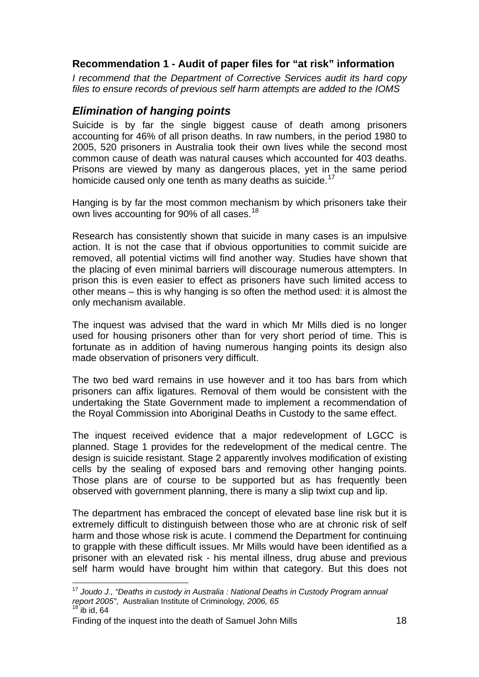#### <span id="page-18-0"></span>**Recommendation 1 - Audit of paper files for "at risk" information**

*I recommend that the Department of Corrective Services audit its hard copy files to ensure records of previous self harm attempts are added to the IOMS* 

#### *Elimination of hanging points*

Suicide is by far the single biggest cause of death among prisoners accounting for 46% of all prison deaths. In raw numbers, in the period 1980 to 2005, 520 prisoners in Australia took their own lives while the second most common cause of death was natural causes which accounted for 403 deaths. Prisons are viewed by many as dangerous places, yet in the same period homicide caused only one tenth as many deaths as suicide.<sup>[17](#page-18-1)</sup>

Hanging is by far the most common mechanism by which prisoners take their own lives accounting for 90% of all cases.<sup>[18](#page-18-2)</sup>

Research has consistently shown that suicide in many cases is an impulsive action. It is not the case that if obvious opportunities to commit suicide are removed, all potential victims will find another way. Studies have shown that the placing of even minimal barriers will discourage numerous attempters. In prison this is even easier to effect as prisoners have such limited access to other means – this is why hanging is so often the method used: it is almost the only mechanism available.

The inquest was advised that the ward in which Mr Mills died is no longer used for housing prisoners other than for very short period of time. This is fortunate as in addition of having numerous hanging points its design also made observation of prisoners very difficult.

The two bed ward remains in use however and it too has bars from which prisoners can affix ligatures. Removal of them would be consistent with the undertaking the State Government made to implement a recommendation of the Royal Commission into Aboriginal Deaths in Custody to the same effect.

The inquest received evidence that a major redevelopment of LGCC is planned. Stage 1 provides for the redevelopment of the medical centre. The design is suicide resistant. Stage 2 apparently involves modification of existing cells by the sealing of exposed bars and removing other hanging points. Those plans are of course to be supported but as has frequently been observed with government planning, there is many a slip twixt cup and lip.

The department has embraced the concept of elevated base line risk but it is extremely difficult to distinguish between those who are at chronic risk of self harm and those whose risk is acute. I commend the Department for continuing to grapple with these difficult issues. Mr Mills would have been identified as a prisoner with an elevated risk - his mental illness, drug abuse and previous self harm would have brought him within that category. But this does not

l

<span id="page-18-1"></span><sup>17</sup> *Joudo J., "Deaths in custody in Australia : National Deaths in Custody Program annual report 2005"*, Australian Institute of Criminology*, 2006, 65*  $18$  ib id, 64

<span id="page-18-2"></span>Finding of the inquest into the death of Samuel John Mills 18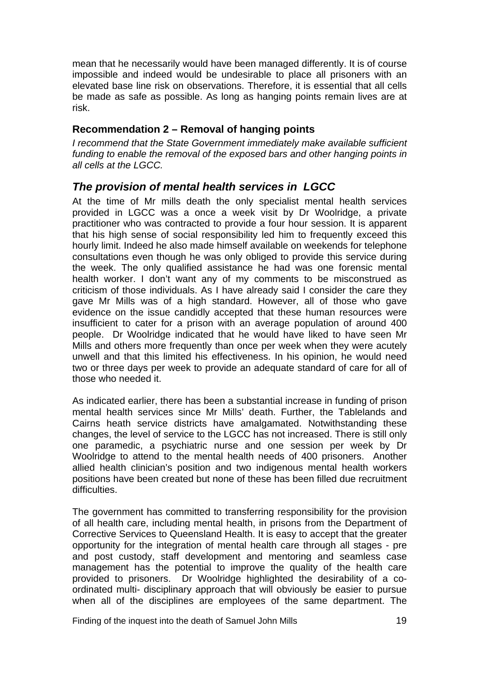<span id="page-19-0"></span>mean that he necessarily would have been managed differently. It is of course impossible and indeed would be undesirable to place all prisoners with an elevated base line risk on observations. Therefore, it is essential that all cells be made as safe as possible. As long as hanging points remain lives are at risk.

#### **Recommendation 2 – Removal of hanging points**

*I recommend that the State Government immediately make available sufficient funding to enable the removal of the exposed bars and other hanging points in all cells at the LGCC.* 

#### *The provision of mental health services in LGCC*

At the time of Mr mills death the only specialist mental health services provided in LGCC was a once a week visit by Dr Woolridge, a private practitioner who was contracted to provide a four hour session. It is apparent that his high sense of social responsibility led him to frequently exceed this hourly limit. Indeed he also made himself available on weekends for telephone consultations even though he was only obliged to provide this service during the week. The only qualified assistance he had was one forensic mental health worker. I don't want any of my comments to be misconstrued as criticism of those individuals. As I have already said I consider the care they gave Mr Mills was of a high standard. However, all of those who gave evidence on the issue candidly accepted that these human resources were insufficient to cater for a prison with an average population of around 400 people. Dr Woolridge indicated that he would have liked to have seen Mr Mills and others more frequently than once per week when they were acutely unwell and that this limited his effectiveness. In his opinion, he would need two or three days per week to provide an adequate standard of care for all of those who needed it.

As indicated earlier, there has been a substantial increase in funding of prison mental health services since Mr Mills' death. Further, the Tablelands and Cairns heath service districts have amalgamated. Notwithstanding these changes, the level of service to the LGCC has not increased. There is still only one paramedic, a psychiatric nurse and one session per week by Dr Woolridge to attend to the mental health needs of 400 prisoners. Another allied health clinician's position and two indigenous mental health workers positions have been created but none of these has been filled due recruitment difficulties.

The government has committed to transferring responsibility for the provision of all health care, including mental health, in prisons from the Department of Corrective Services to Queensland Health. It is easy to accept that the greater opportunity for the integration of mental health care through all stages - pre and post custody, staff development and mentoring and seamless case management has the potential to improve the quality of the health care provided to prisoners. Dr Woolridge highlighted the desirability of a coordinated multi- disciplinary approach that will obviously be easier to pursue when all of the disciplines are employees of the same department. The

Finding of the inquest into the death of Samuel John Mills 19